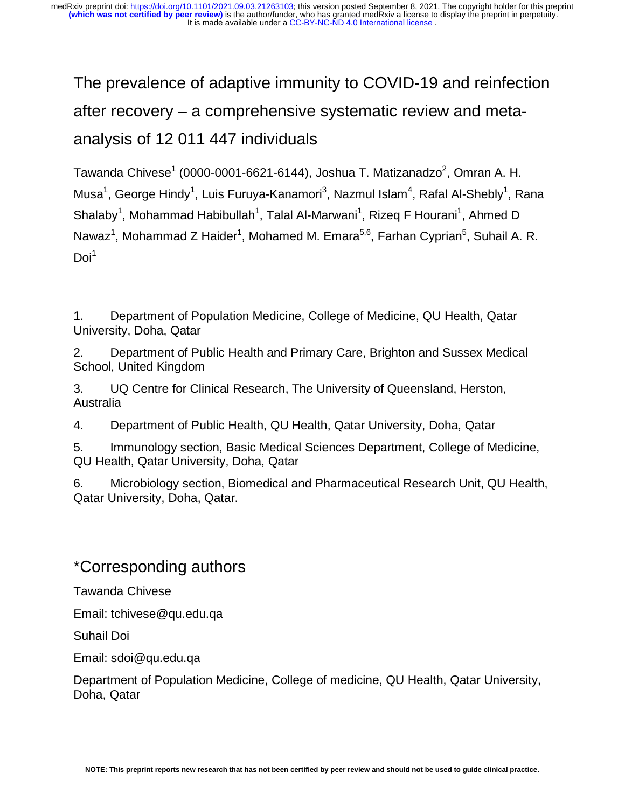The prevalence of adaptive immunity to COVID-19 and reinfection after recovery – a comprehensive systematic review and metaanalysis of 12 011 447 individuals

Tawanda Chivese $^1$  (0000-0001-6621-6144), Joshua T. Matizanadzo $^2$ , Omran A. H. Musa<sup>1</sup>, George Hindy<sup>1</sup>, Luis Furuya-Kanamori<sup>3</sup>, Nazmul Islam<sup>4</sup>, Rafal Al-Shebly<sup>1</sup>, Rana Shalaby<sup>1</sup>, Mohammad Habibullah<sup>1</sup>, Talal Al-Marwani<sup>1</sup>, Rizeq F Hourani<sup>1</sup>, Ahmed D Nawaz<sup>1</sup>, Mohammad Z Haider<sup>1</sup>, Mohamed M. Emara<sup>5,6</sup>, Farhan Cyprian<sup>5</sup>, Suhail A. R.  $Doi<sup>1</sup>$ 

1. Department of Population Medicine, College of Medicine, QU Health, Qatar University, Doha, Qatar

2. Department of Public Health and Primary Care, Brighton and Sussex Medical School, United Kingdom

3. UQ Centre for Clinical Research, The University of Queensland, Herston, Australia

4. Department of Public Health, QU Health, Qatar University, Doha, Qatar

5. Immunology section, Basic Medical Sciences Department, College of Medicine, QU Health, Qatar University, Doha, Qatar

6. Microbiology section, Biomedical and Pharmaceutical Research Unit, QU Health, Qatar University, Doha, Qatar.

# \*Corresponding authors

Tawanda Chivese

Email: tchivese@qu.edu.qa

Suhail Doi

Email: sdoi@qu.edu.qa

Department of Population Medicine, College of medicine, QU Health, Qatar University, Doha, Qatar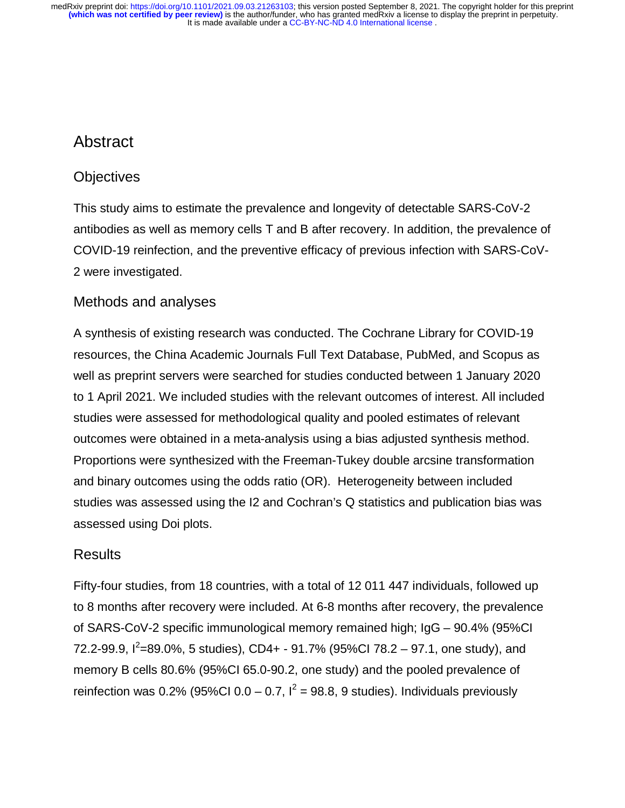# Abstract

## **Objectives**

This study aims to estimate the prevalence and longevity of detectable SARS-CoV-2 antibodies as well as memory cells T and B after recovery. In addition, the prevalence of COVID-19 reinfection, and the preventive efficacy of previous infection with SARS-CoV-2 were investigated.

#### Methods and analyses

A synthesis of existing research was conducted. The Cochrane Library for COVID-19 resources, the China Academic Journals Full Text Database, PubMed, and Scopus as well as preprint servers were searched for studies conducted between 1 January 2020 to 1 April 2021. We included studies with the relevant outcomes of interest. All included studies were assessed for methodological quality and pooled estimates of relevant outcomes were obtained in a meta-analysis using a bias adjusted synthesis method. Proportions were synthesized with the Freeman-Tukey double arcsine transformation and binary outcomes using the odds ratio (OR). Heterogeneity between included studies was assessed using the I2 and Cochran's Q statistics and publication bias was assessed using Doi plots.

#### Results

Fifty-four studies, from 18 countries, with a total of 12 011 447 individuals, followed up to 8 months after recovery were included. At 6-8 months after recovery, the prevalence of SARS-CoV-2 specific immunological memory remained high; IgG – 90.4% (95%CI 72.2-99.9,  $I^2$ =89.0%, 5 studies), CD4+ - 91.7% (95%Cl 78.2 – 97.1, one study), and memory B cells 80.6% (95%CI 65.0-90.2, one study) and the pooled prevalence of reinfection was 0.2% (95%Cl 0.0 – 0.7,  $I^2 = 98.8$ , 9 studies). Individuals previously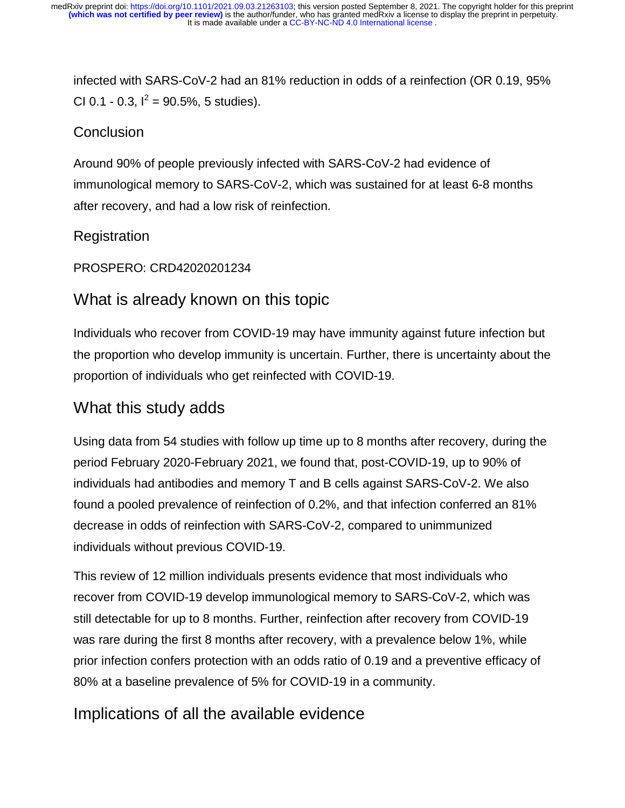infected with SARS-CoV-2 had an 81% reduction in odds of a reinfection (OR 0.19, 95% CI 0.1 - 0.3,  $I^2 = 90.5\%$ , 5 studies).

#### **Conclusion**

Around 90% of people previously infected with SARS-CoV-2 had evidence of immunological memory to SARS-CoV-2, which was sustained for at least 6-8 months after recovery, and had a low risk of reinfection.

#### **Registration**

#### PROSPERO: CRD42020201234

## What is already known on this topic

Individuals who recover from COVID-19 may have immunity against future infection but the proportion who develop immunity is uncertain. Further, there is uncertainty about the proportion of individuals who get reinfected with COVID-19.

## What this study adds

Using data from 54 studies with follow up time up to 8 months after recovery, during the period February 2020-February 2021, we found that, post-COVID-19, up to 90% of individuals had antibodies and memory T and B cells against SARS-CoV-2. We also found a pooled prevalence of reinfection of 0.2%, and that infection conferred an 81% decrease in odds of reinfection with SARS-CoV-2, compared to unimmunized individuals without previous COVID-19.

This review of 12 million individuals presents evidence that most individuals who recover from COVID-19 develop immunological memory to SARS-CoV-2, which was still detectable for up to 8 months. Further, reinfection after recovery from COVID-19 was rare during the first 8 months after recovery, with a prevalence below 1%, while prior infection confers protection with an odds ratio of 0.19 and a preventive efficacy of 80% at a baseline prevalence of 5% for COVID-19 in a community.

## Implications of all the available evidence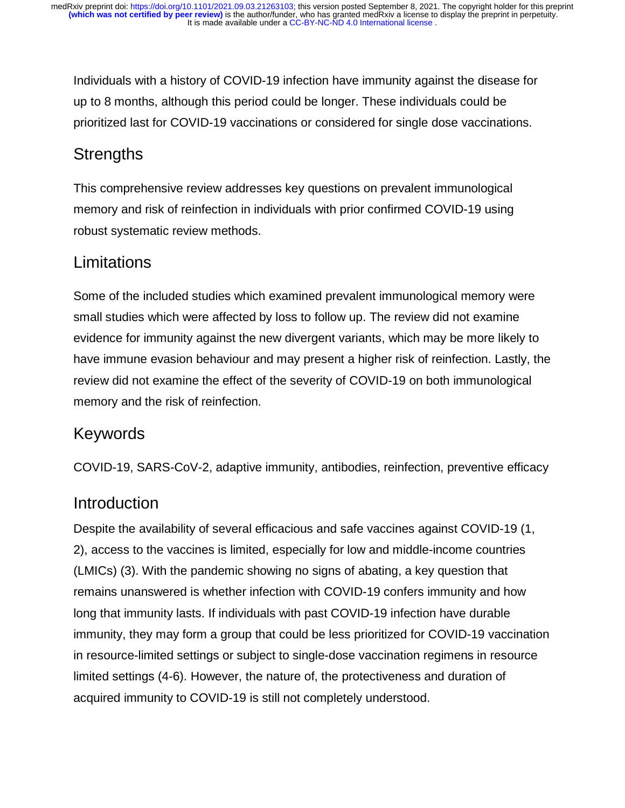Individuals with a history of COVID-19 infection have immunity against the disease for up to 8 months, although this period could be longer. These individuals could be prioritized last for COVID-19 vaccinations or considered for single dose vaccinations.

# **Strengths**

This comprehensive review addresses key questions on prevalent immunological memory and risk of reinfection in individuals with prior confirmed COVID-19 using robust systematic review methods.

# **Limitations**

Some of the included studies which examined prevalent immunological memory were small studies which were affected by loss to follow up. The review did not examine evidence for immunity against the new divergent variants, which may be more likely to have immune evasion behaviour and may present a higher risk of reinfection. Lastly, the review did not examine the effect of the severity of COVID-19 on both immunological memory and the risk of reinfection.

# Keywords

COVID-19, SARS-CoV-2, adaptive immunity, antibodies, reinfection, preventive efficacy

# Introduction

Despite the availability of several efficacious and safe vaccines against COVID-19 (1, 2), access to the vaccines is limited, especially for low and middle-income countries (LMICs) (3). With the pandemic showing no signs of abating, a key question that remains unanswered is whether infection with COVID-19 confers immunity and how long that immunity lasts. If individuals with past COVID-19 infection have durable immunity, they may form a group that could be less prioritized for COVID-19 vaccination in resource-limited settings or subject to single-dose vaccination regimens in resource limited settings (4-6). However, the nature of, the protectiveness and duration of acquired immunity to COVID-19 is still not completely understood.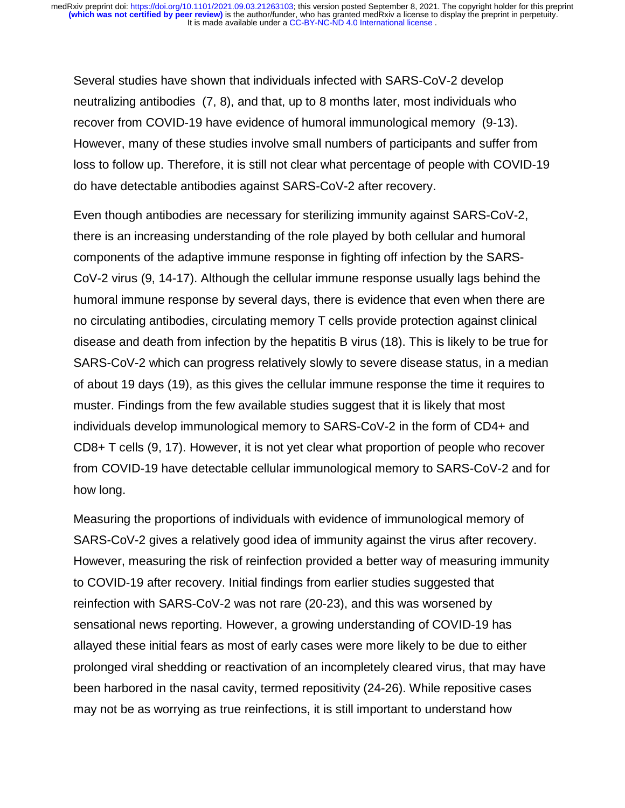Several studies have shown that individuals infected with SARS-CoV-2 develop neutralizing antibodies (7, 8), and that, up to 8 months later, most individuals who recover from COVID-19 have evidence of humoral immunological memory (9-13). However, many of these studies involve small numbers of participants and suffer from loss to follow up. Therefore, it is still not clear what percentage of people with COVID-19 do have detectable antibodies against SARS-CoV-2 after recovery.

Even though antibodies are necessary for sterilizing immunity against SARS-CoV-2, there is an increasing understanding of the role played by both cellular and humoral components of the adaptive immune response in fighting off infection by the SARS-CoV-2 virus (9, 14-17). Although the cellular immune response usually lags behind the humoral immune response by several days, there is evidence that even when there are no circulating antibodies, circulating memory T cells provide protection against clinical disease and death from infection by the hepatitis B virus (18). This is likely to be true for SARS-CoV-2 which can progress relatively slowly to severe disease status, in a median of about 19 days (19), as this gives the cellular immune response the time it requires to muster. Findings from the few available studies suggest that it is likely that most individuals develop immunological memory to SARS-CoV-2 in the form of CD4+ and CD8+ T cells (9, 17). However, it is not yet clear what proportion of people who recover from COVID-19 have detectable cellular immunological memory to SARS-CoV-2 and for how long.

Measuring the proportions of individuals with evidence of immunological memory of SARS-CoV-2 gives a relatively good idea of immunity against the virus after recovery. However, measuring the risk of reinfection provided a better way of measuring immunity to COVID-19 after recovery. Initial findings from earlier studies suggested that reinfection with SARS-CoV-2 was not rare (20-23), and this was worsened by sensational news reporting. However, a growing understanding of COVID-19 has allayed these initial fears as most of early cases were more likely to be due to either prolonged viral shedding or reactivation of an incompletely cleared virus, that may have been harbored in the nasal cavity, termed repositivity (24-26). While repositive cases may not be as worrying as true reinfections, it is still important to understand how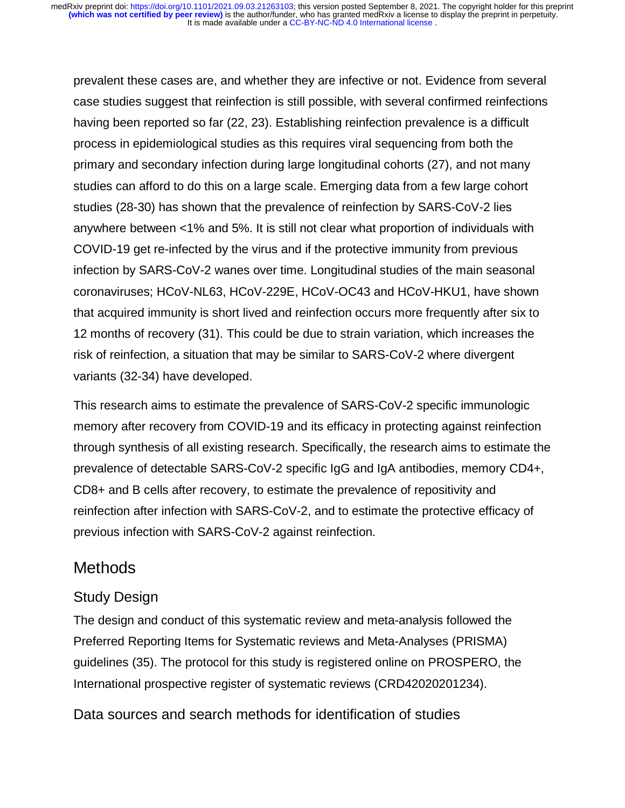prevalent these cases are, and whether they are infective or not. Evidence from several case studies suggest that reinfection is still possible, with several confirmed reinfections having been reported so far (22, 23). Establishing reinfection prevalence is a difficult process in epidemiological studies as this requires viral sequencing from both the primary and secondary infection during large longitudinal cohorts (27), and not many studies can afford to do this on a large scale. Emerging data from a few large cohort studies (28-30) has shown that the prevalence of reinfection by SARS-CoV-2 lies anywhere between <1% and 5%. It is still not clear what proportion of individuals with COVID-19 get re-infected by the virus and if the protective immunity from previous infection by SARS-CoV-2 wanes over time. Longitudinal studies of the main seasonal coronaviruses; HCoV-NL63, HCoV-229E, HCoV-OC43 and HCoV-HKU1, have shown that acquired immunity is short lived and reinfection occurs more frequently after six to 12 months of recovery (31). This could be due to strain variation, which increases the risk of reinfection, a situation that may be similar to SARS-CoV-2 where divergent variants (32-34) have developed.

This research aims to estimate the prevalence of SARS-CoV-2 specific immunologic memory after recovery from COVID-19 and its efficacy in protecting against reinfection through synthesis of all existing research. Specifically, the research aims to estimate the prevalence of detectable SARS-CoV-2 specific IgG and IgA antibodies, memory CD4+, CD8+ and B cells after recovery, to estimate the prevalence of repositivity and reinfection after infection with SARS-CoV-2, and to estimate the protective efficacy of previous infection with SARS-CoV-2 against reinfection.

## **Methods**

#### Study Design

The design and conduct of this systematic review and meta-analysis followed the Preferred Reporting Items for Systematic reviews and Meta-Analyses (PRISMA) guidelines (35). The protocol for this study is registered online on PROSPERO, the International prospective register of systematic reviews (CRD42020201234).

Data sources and search methods for identification of studies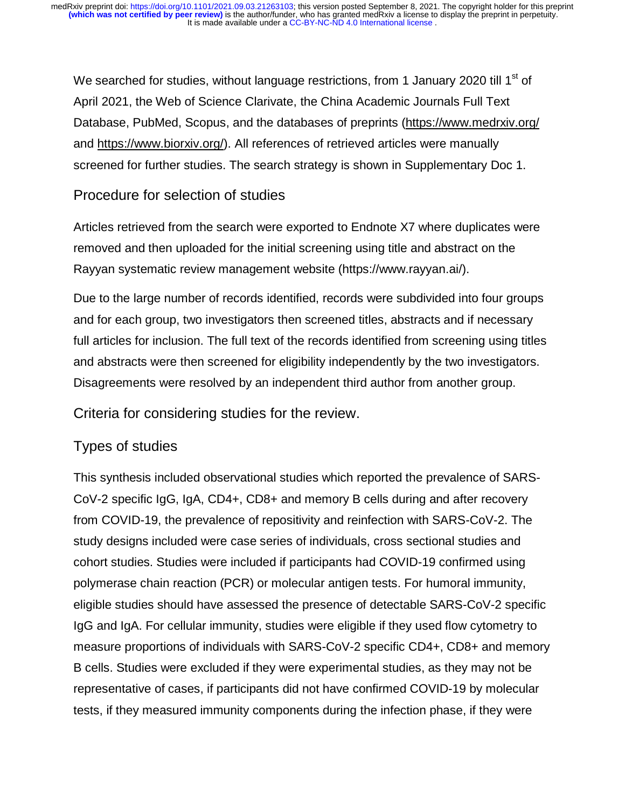We searched for studies, without language restrictions, from 1 January 2020 till 1<sup>st</sup> of April 2021, the Web of Science Clarivate, the China Academic Journals Full Text Database, PubMed, Scopus, and the databases of preprints (https://www.medrxiv.org/ and https://www.biorxiv.org/). All references of retrieved articles were manually screened for further studies. The search strategy is shown in Supplementary Doc 1.

#### Procedure for selection of studies

Articles retrieved from the search were exported to Endnote X7 where duplicates were removed and then uploaded for the initial screening using title and abstract on the Rayyan systematic review management website (https://www.rayyan.ai/).

Due to the large number of records identified, records were subdivided into four groups and for each group, two investigators then screened titles, abstracts and if necessary full articles for inclusion. The full text of the records identified from screening using titles and abstracts were then screened for eligibility independently by the two investigators. Disagreements were resolved by an independent third author from another group.

Criteria for considering studies for the review.

### Types of studies

This synthesis included observational studies which reported the prevalence of SARS-CoV-2 specific IgG, IgA, CD4+, CD8+ and memory B cells during and after recovery from COVID-19, the prevalence of repositivity and reinfection with SARS-CoV-2. The study designs included were case series of individuals, cross sectional studies and cohort studies. Studies were included if participants had COVID-19 confirmed using polymerase chain reaction (PCR) or molecular antigen tests. For humoral immunity, eligible studies should have assessed the presence of detectable SARS-CoV-2 specific IgG and IgA. For cellular immunity, studies were eligible if they used flow cytometry to measure proportions of individuals with SARS-CoV-2 specific CD4+, CD8+ and memory B cells. Studies were excluded if they were experimental studies, as they may not be representative of cases, if participants did not have confirmed COVID-19 by molecular tests, if they measured immunity components during the infection phase, if they were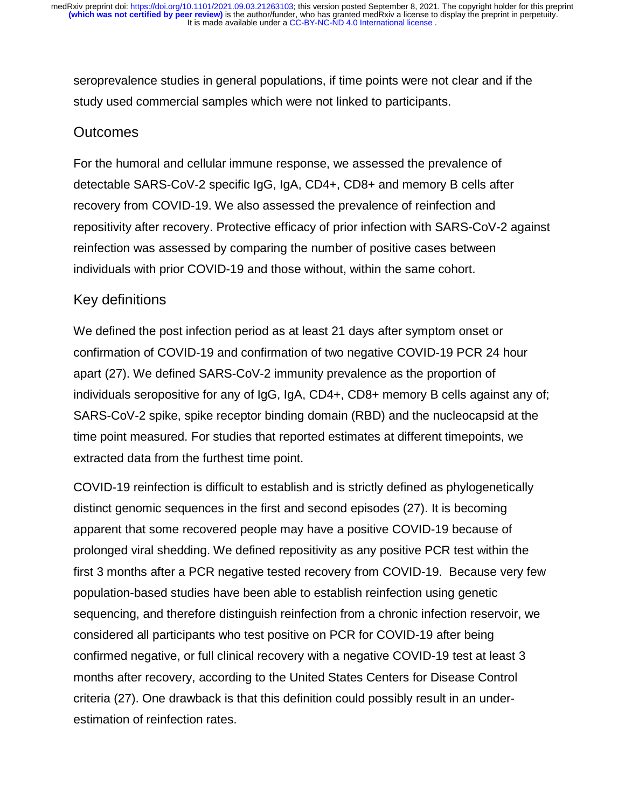seroprevalence studies in general populations, if time points were not clear and if the study used commercial samples which were not linked to participants.

#### **Outcomes**

For the humoral and cellular immune response, we assessed the prevalence of detectable SARS-CoV-2 specific IgG, IgA, CD4+, CD8+ and memory B cells after recovery from COVID-19. We also assessed the prevalence of reinfection and repositivity after recovery. Protective efficacy of prior infection with SARS-CoV-2 against reinfection was assessed by comparing the number of positive cases between individuals with prior COVID-19 and those without, within the same cohort.

### Key definitions

We defined the post infection period as at least 21 days after symptom onset or confirmation of COVID-19 and confirmation of two negative COVID-19 PCR 24 hour apart (27). We defined SARS-CoV-2 immunity prevalence as the proportion of individuals seropositive for any of IgG, IgA, CD4+, CD8+ memory B cells against any of; SARS-CoV-2 spike, spike receptor binding domain (RBD) and the nucleocapsid at the time point measured. For studies that reported estimates at different timepoints, we extracted data from the furthest time point.

COVID-19 reinfection is difficult to establish and is strictly defined as phylogenetically distinct genomic sequences in the first and second episodes (27). It is becoming apparent that some recovered people may have a positive COVID-19 because of prolonged viral shedding. We defined repositivity as any positive PCR test within the first 3 months after a PCR negative tested recovery from COVID-19. Because very few population-based studies have been able to establish reinfection using genetic sequencing, and therefore distinguish reinfection from a chronic infection reservoir, we considered all participants who test positive on PCR for COVID-19 after being confirmed negative, or full clinical recovery with a negative COVID-19 test at least 3 months after recovery, according to the United States Centers for Disease Control criteria (27). One drawback is that this definition could possibly result in an underestimation of reinfection rates.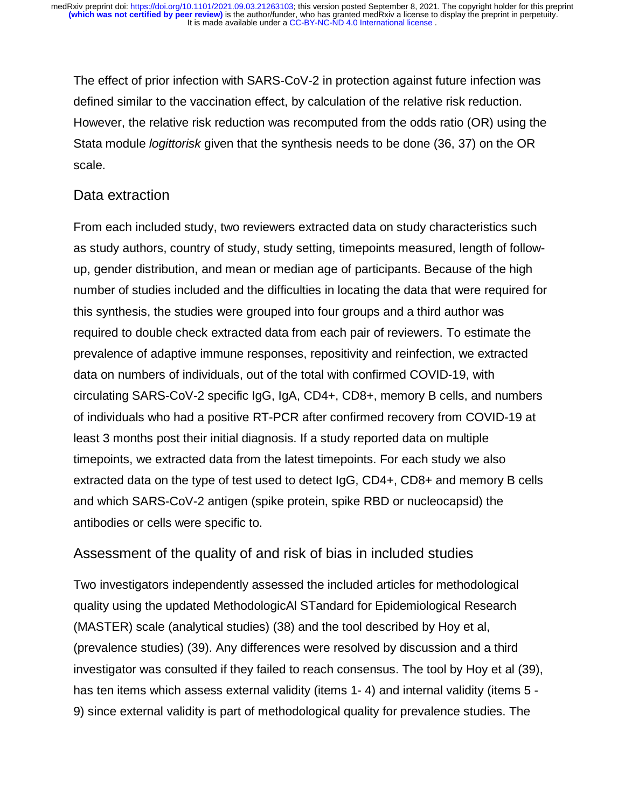The effect of prior infection with SARS-CoV-2 in protection against future infection was defined similar to the vaccination effect, by calculation of the relative risk reduction. However, the relative risk reduction was recomputed from the odds ratio (OR) using the Stata module *logittorisk* given that the synthesis needs to be done (36, 37) on the OR scale.

#### Data extraction

From each included study, two reviewers extracted data on study characteristics such as study authors, country of study, study setting, timepoints measured, length of followup, gender distribution, and mean or median age of participants. Because of the high number of studies included and the difficulties in locating the data that were required for this synthesis, the studies were grouped into four groups and a third author was required to double check extracted data from each pair of reviewers. To estimate the prevalence of adaptive immune responses, repositivity and reinfection, we extracted data on numbers of individuals, out of the total with confirmed COVID-19, with circulating SARS-CoV-2 specific IgG, IgA, CD4+, CD8+, memory B cells, and numbers of individuals who had a positive RT-PCR after confirmed recovery from COVID-19 at least 3 months post their initial diagnosis. If a study reported data on multiple timepoints, we extracted data from the latest timepoints. For each study we also extracted data on the type of test used to detect IgG, CD4+, CD8+ and memory B cells and which SARS-CoV-2 antigen (spike protein, spike RBD or nucleocapsid) the antibodies or cells were specific to.

#### Assessment of the quality of and risk of bias in included studies

Two investigators independently assessed the included articles for methodological quality using the updated MethodologicAl STandard for Epidemiological Research (MASTER) scale (analytical studies) (38) and the tool described by Hoy et al, (prevalence studies) (39). Any differences were resolved by discussion and a third investigator was consulted if they failed to reach consensus. The tool by Hoy et al (39), has ten items which assess external validity (items 1- 4) and internal validity (items 5 - 9) since external validity is part of methodological quality for prevalence studies. The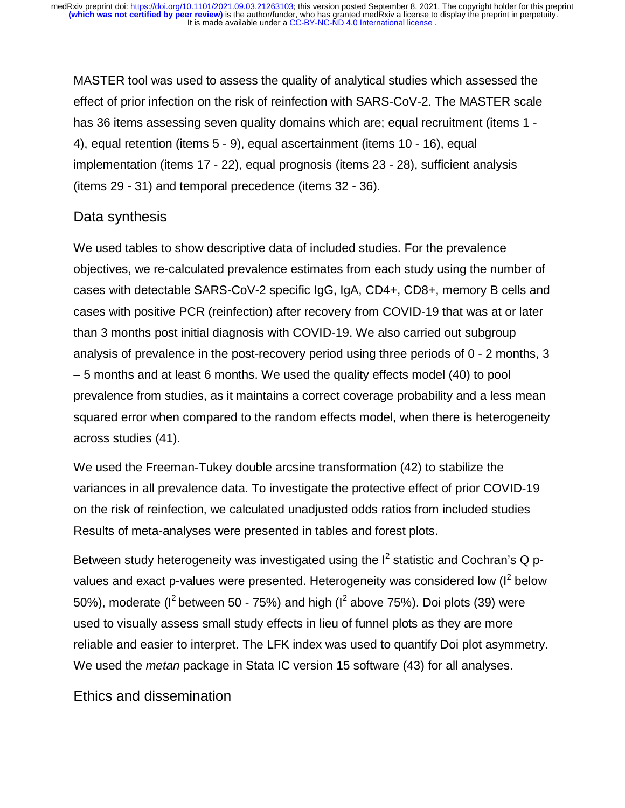MASTER tool was used to assess the quality of analytical studies which assessed the effect of prior infection on the risk of reinfection with SARS-CoV-2. The MASTER scale has 36 items assessing seven quality domains which are; equal recruitment (items 1 - 4), equal retention (items 5 - 9), equal ascertainment (items 10 - 16), equal implementation (items 17 - 22), equal prognosis (items 23 - 28), sufficient analysis (items 29 - 31) and temporal precedence (items 32 - 36).

#### Data synthesis

We used tables to show descriptive data of included studies. For the prevalence objectives, we re-calculated prevalence estimates from each study using the number of cases with detectable SARS-CoV-2 specific IgG, IgA, CD4+, CD8+, memory B cells and cases with positive PCR (reinfection) after recovery from COVID-19 that was at or later than 3 months post initial diagnosis with COVID-19. We also carried out subgroup analysis of prevalence in the post-recovery period using three periods of 0 - 2 months, 3 – 5 months and at least 6 months. We used the quality effects model (40) to pool prevalence from studies, as it maintains a correct coverage probability and a less mean squared error when compared to the random effects model, when there is heterogeneity across studies (41).

We used the Freeman-Tukey double arcsine transformation (42) to stabilize the variances in all prevalence data. To investigate the protective effect of prior COVID-19 on the risk of reinfection, we calculated unadjusted odds ratios from included studies Results of meta-analyses were presented in tables and forest plots.

Between study heterogeneity was investigated using the  $I^2$  statistic and Cochran's Q pvalues and exact p-values were presented. Heterogeneity was considered low ( $I^2$  below 50%), moderate ( $l^2$  between 50 - 75%) and high ( $l^2$  above 75%). Doi plots (39) were used to visually assess small study effects in lieu of funnel plots as they are more reliable and easier to interpret. The LFK index was used to quantify Doi plot asymmetry. We used the *metan* package in Stata IC version 15 software (43) for all analyses.

Ethics and dissemination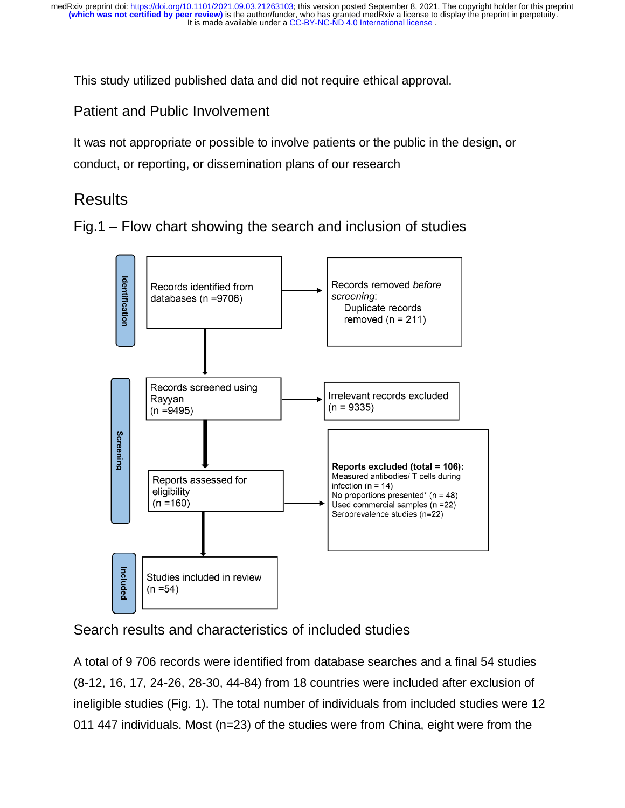This study utilized published data and did not require ethical approval.

## Patient and Public Involvement

It was not appropriate or possible to involve patients or the public in the design, or conduct, or reporting, or dissemination plans of our research

# **Results**

Fig.1 – Flow chart showing the search and inclusion of studies



Search results and characteristics of included studies

A total of 9 706 records were identified from database searches and a final 54 studies (8-12, 16, 17, 24-26, 28-30, 44-84) from 18 countries were included after exclusion of ineligible studies (Fig. 1). The total number of individuals from included studies were 12 011 447 individuals. Most (n=23) of the studies were from China, eight were from the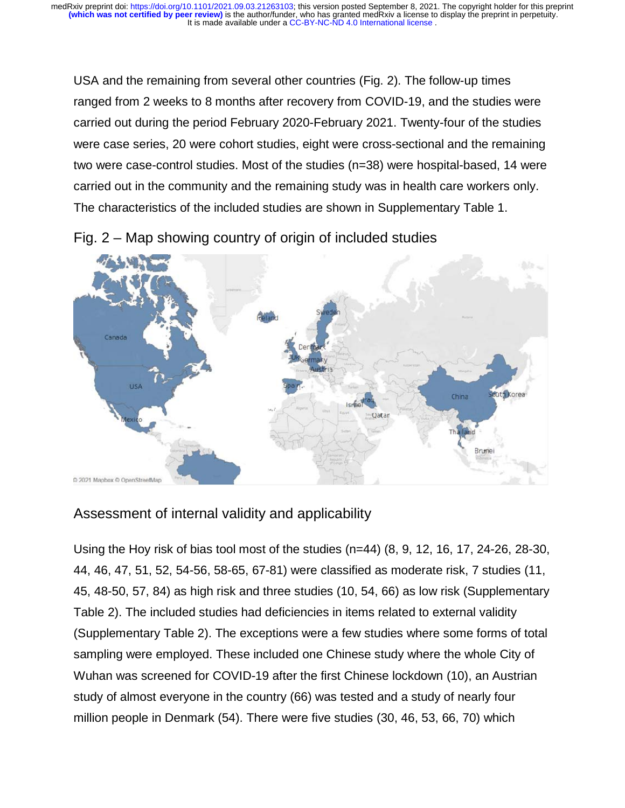**(which was not certified by peer review)** is the author/funder, who has granted medRxiv a license to display the preprint in perpetuity. medRxiv preprint doi: [https://doi.org/10.1101/2021.09.03.21263103;](https://doi.org/10.1101/2021.09.03.21263103) this version posted September 8, 2021. The copyright holder for this preprint

USA and the remaining from several other countries (Fig. 2). The follow-up times ranged from 2 weeks to 8 months after recovery from COVID-19, and the studies were carried out during the period February 2020-February 2021. Twenty-four of the studies were case series, 20 were cohort studies, eight were cross-sectional and the remaining two were case-control studies. Most of the studies (n=38) were hospital-based, 14 were carried out in the community and the remaining study was in health care workers only. The characteristics of the included studies are shown in Supplementary Table 1.



Fig. 2 – Map showing country of origin of included studies

## Assessment of internal validity and applicability

Using the Hoy risk of bias tool most of the studies (n=44) (8, 9, 12, 16, 17, 24-26, 28-30, 44, 46, 47, 51, 52, 54-56, 58-65, 67-81) were classified as moderate risk, 7 studies (11, 45, 48-50, 57, 84) as high risk and three studies (10, 54, 66) as low risk (Supplementary Table 2). The included studies had deficiencies in items related to external validity (Supplementary Table 2). The exceptions were a few studies where some forms of total sampling were employed. These included one Chinese study where the whole City of Wuhan was screened for COVID-19 after the first Chinese lockdown (10), an Austrian study of almost everyone in the country (66) was tested and a study of nearly four million people in Denmark (54). There were five studies (30, 46, 53, 66, 70) which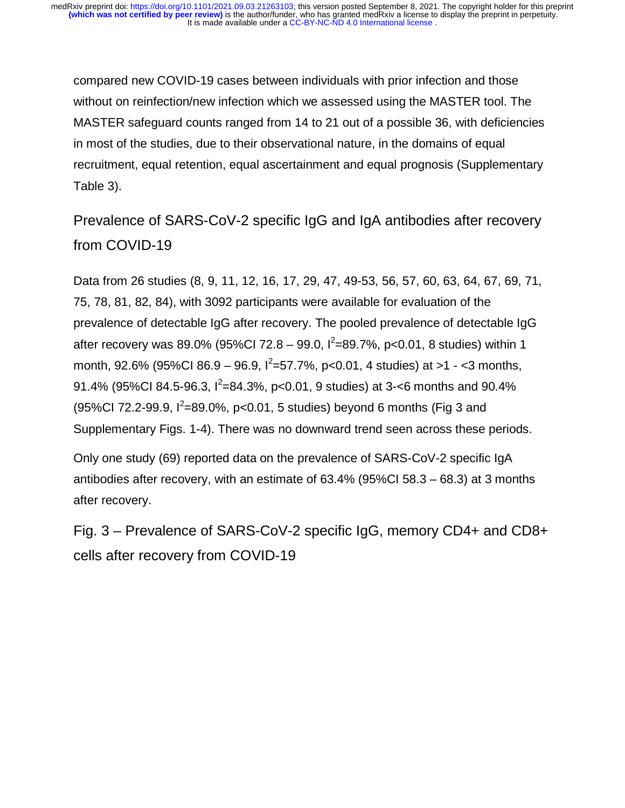compared new COVID-19 cases between individuals with prior infection and those without on reinfection/new infection which we assessed using the MASTER tool. The MASTER safeguard counts ranged from 14 to 21 out of a possible 36, with deficiencies in most of the studies, due to their observational nature, in the domains of equal recruitment, equal retention, equal ascertainment and equal prognosis (Supplementary Table 3).

Prevalence of SARS-CoV-2 specific IgG and IgA antibodies after recovery from COVID-19

Data from 26 studies (8, 9, 11, 12, 16, 17, 29, 47, 49-53, 56, 57, 60, 63, 64, 67, 69, 71, 75, 78, 81, 82, 84), with 3092 participants were available for evaluation of the prevalence of detectable IgG after recovery. The pooled prevalence of detectable IgG after recovery was 89.0% (95%Cl 72.8 – 99.0,  $l^2$ =89.7%, p<0.01, 8 studies) within 1 month, 92.6% (95%Cl 86.9 – 96.9,  $I^2 = 57.7$ %, p<0.01, 4 studies) at >1 - <3 months, 91.4% (95%Cl 84.5-96.3,  $I^2 = 84.3$ %, p<0.01, 9 studies) at 3-<6 months and 90.4%  $(95\%$ CI 72.2-99.9,  $I^2$ =89.0%, p<0.01, 5 studies) beyond 6 months (Fig 3 and Supplementary Figs. 1-4). There was no downward trend seen across these periods.

Only one study (69) reported data on the prevalence of SARS-CoV-2 specific IgA antibodies after recovery, with an estimate of 63.4% (95%CI 58.3 – 68.3) at 3 months after recovery.

Fig. 3 – Prevalence of SARS-CoV-2 specific IgG, memory CD4+ and CD8+ cells after recovery from COVID-19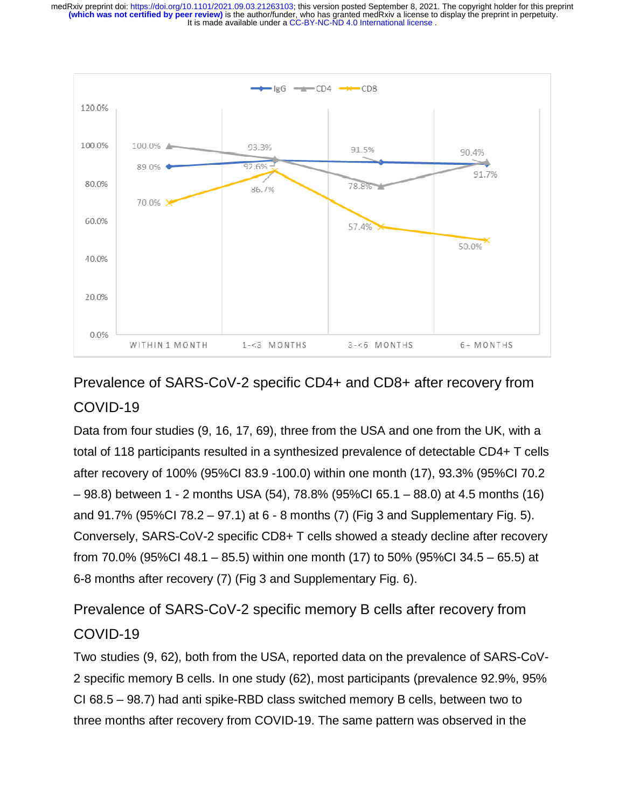

# Prevalence of SARS-CoV-2 specific CD4+ and CD8+ after recovery from COVID-19

Data from four studies (9, 16, 17, 69), three from the USA and one from the UK, with a total of 118 participants resulted in a synthesized prevalence of detectable CD4+ T cells after recovery of 100% (95%CI 83.9 -100.0) within one month (17), 93.3% (95%CI 70.2 – 98.8) between 1 - 2 months USA (54), 78.8% (95%CI 65.1 – 88.0) at 4.5 months (16) and 91.7% (95%CI 78.2 – 97.1) at 6 - 8 months (7) (Fig 3 and Supplementary Fig. 5). Conversely, SARS-CoV-2 specific CD8+ T cells showed a steady decline after recovery from 70.0% (95%CI 48.1 – 85.5) within one month (17) to 50% (95%CI 34.5 – 65.5) at 6-8 months after recovery (7) (Fig 3 and Supplementary Fig. 6).

Prevalence of SARS-CoV-2 specific memory B cells after recovery from COVID-19

Two studies (9, 62), both from the USA, reported data on the prevalence of SARS-CoV-2 specific memory B cells. In one study (62), most participants (prevalence 92.9%, 95% CI 68.5 – 98.7) had anti spike-RBD class switched memory B cells, between two to three months after recovery from COVID-19. The same pattern was observed in the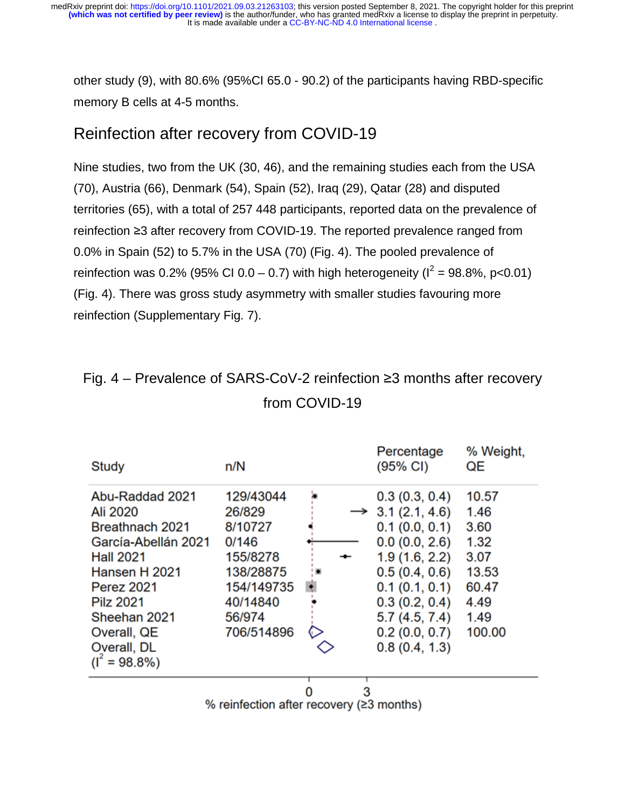other study (9), with 80.6% (95%CI 65.0 - 90.2) of the participants having RBD-specific memory B cells at 4-5 months.

# Reinfection after recovery from COVID-19

Nine studies, two from the UK (30, 46), and the remaining studies each from the USA (70), Austria (66), Denmark (54), Spain (52), Iraq (29), Qatar (28) and disputed territories (65), with a total of 257 448 participants, reported data on the prevalence of reinfection ≥3 after recovery from COVID-19. The reported prevalence ranged from 0.0% in Spain (52) to 5.7% in the USA (70) (Fig. 4). The pooled prevalence of reinfection was 0.2% (95% CI 0.0 – 0.7) with high heterogeneity ( $I^2 = 98.8$ %, p<0.01) (Fig. 4). There was gross study asymmetry with smaller studies favouring more reinfection (Supplementary Fig. 7).

# Fig. 4 – Prevalence of SARS-CoV-2 reinfection ≥3 months after recovery from COVID-19

| Study                                                                                                                                                                                                                 | n/N                                                                                                                |   |   | Percentage<br>(95% CI)                                                                                                                                                                                 | % Weight,<br>QE                                                                   |
|-----------------------------------------------------------------------------------------------------------------------------------------------------------------------------------------------------------------------|--------------------------------------------------------------------------------------------------------------------|---|---|--------------------------------------------------------------------------------------------------------------------------------------------------------------------------------------------------------|-----------------------------------------------------------------------------------|
| Abu-Raddad 2021<br>Ali 2020<br>Breathnach 2021<br>García-Abellán 2021<br><b>Hall 2021</b><br>Hansen H 2021<br><b>Perez 2021</b><br><b>Pilz 2021</b><br>Sheehan 2021<br>Overall, QE<br>Overall, DL<br>$(I^2 = 98.8\%)$ | 129/43044<br>26/829<br>8/10727<br>0/146<br>155/8278<br>138/28875<br>154/149735<br>40/14840<br>56/974<br>706/514896 |   |   | 0.3(0.3, 0.4)<br>$\rightarrow$ 3.1 (2.1, 4.6)<br>0.1(0.0, 0.1)<br>0.0(0.0, 2.6)<br>1.9(1.6, 2.2)<br>0.5(0.4, 0.6)<br>0.1(0.1, 0.1)<br>0.3(0.2, 0.4)<br>5.7(4.5, 7.4)<br>0.2(0.0, 0.7)<br>0.8(0.4, 1.3) | 10.57<br>1.46<br>3.60<br>1.32<br>3.07<br>13.53<br>60.47<br>4.49<br>1.49<br>100.00 |
|                                                                                                                                                                                                                       |                                                                                                                    | O | з |                                                                                                                                                                                                        |                                                                                   |

% reinfection after recovery (≥3 months)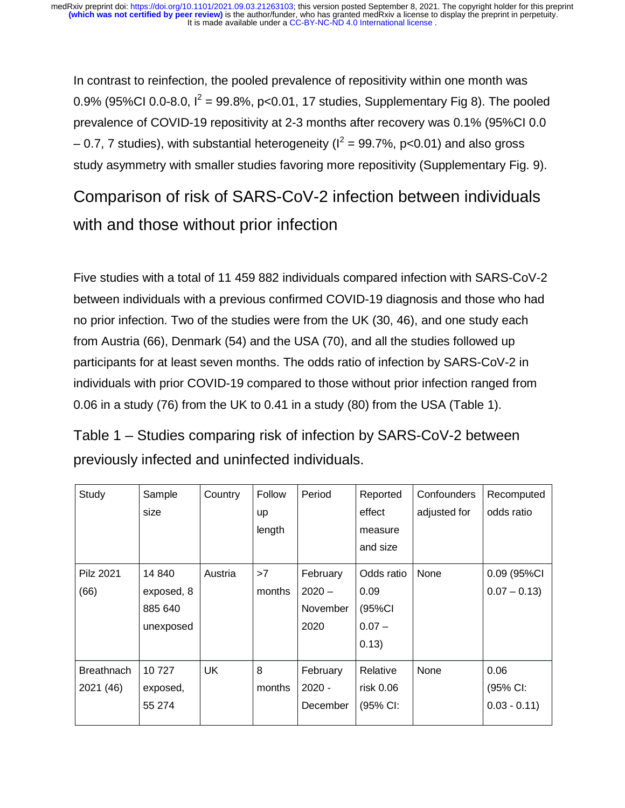In contrast to reinfection, the pooled prevalence of repositivity within one month was 0.9% (95%CI 0.0-8.0,  $I^2 = 99.8\%$ , p<0.01, 17 studies, Supplementary Fig 8). The pooled prevalence of COVID-19 repositivity at 2-3 months after recovery was 0.1% (95%CI 0.0  $-$  0.7, 7 studies), with substantial heterogeneity ( $I^2$  = 99.7%, p<0.01) and also gross study asymmetry with smaller studies favoring more repositivity (Supplementary Fig. 9).

Comparison of risk of SARS-CoV-2 infection between individuals with and those without prior infection

Five studies with a total of 11 459 882 individuals compared infection with SARS-CoV-2 between individuals with a previous confirmed COVID-19 diagnosis and those who had no prior infection. Two of the studies were from the UK (30, 46), and one study each from Austria (66), Denmark (54) and the USA (70), and all the studies followed up participants for at least seven months. The odds ratio of infection by SARS-CoV-2 in individuals with prior COVID-19 compared to those without prior infection ranged from 0.06 in a study (76) from the UK to 0.41 in a study (80) from the USA (Table 1).

Table 1 – Studies comparing risk of infection by SARS-CoV-2 between previously infected and uninfected individuals.

| Study                          | Sample<br>size                               | Country   | Follow<br>up<br>length | Period                                   | Reported<br>effect<br>measure<br>and size         | Confounders<br>adjusted for | Recomputed<br>odds ratio          |
|--------------------------------|----------------------------------------------|-----------|------------------------|------------------------------------------|---------------------------------------------------|-----------------------------|-----------------------------------|
| <b>Pilz 2021</b><br>(66)       | 14 840<br>exposed, 8<br>885 640<br>unexposed | Austria   | >7<br>months           | February<br>$2020 -$<br>November<br>2020 | Odds ratio<br>0.09<br>(95%CI<br>$0.07 -$<br>0.13) | None                        | 0.09 (95%CI<br>$0.07 - 0.13$      |
| <b>Breathnach</b><br>2021 (46) | 10 727<br>exposed,<br>55 274                 | <b>UK</b> | 8<br>months            | February<br>$2020 -$<br>December         | Relative<br>risk 0.06<br>(95% CI:                 | None                        | 0.06<br>(95% CI:<br>$0.03 - 0.11$ |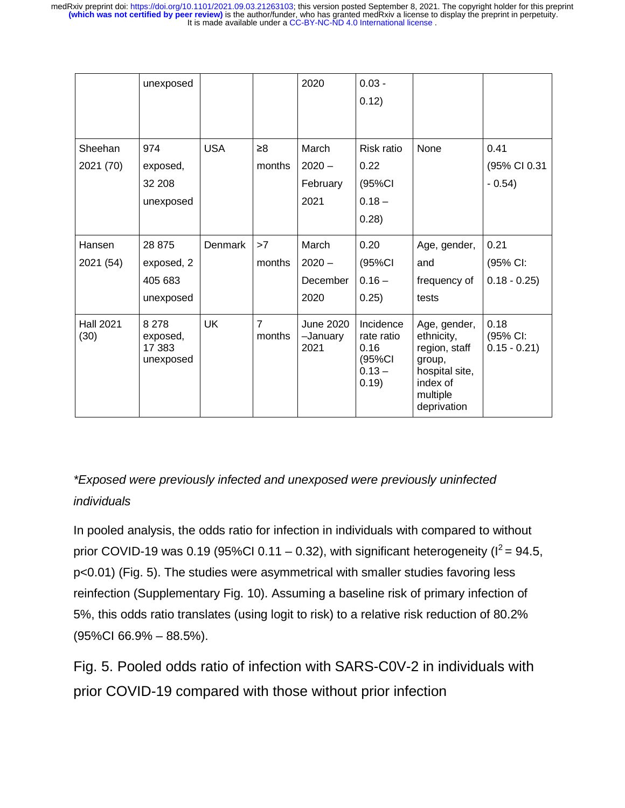|                          | unexposed                                    |            |                          | 2020                                  | $0.03 -$<br>0.12)                                              |                                                                                                                |                                   |
|--------------------------|----------------------------------------------|------------|--------------------------|---------------------------------------|----------------------------------------------------------------|----------------------------------------------------------------------------------------------------------------|-----------------------------------|
| Sheehan<br>2021 (70)     | 974<br>exposed,<br>32 208<br>unexposed       | <b>USA</b> | $\geq 8$<br>months       | March<br>$2020 -$<br>February<br>2021 | Risk ratio<br>0.22<br>(95%CI<br>$0.18 -$<br>0.28)              | None                                                                                                           | 0.41<br>(95% CI 0.31<br>$-0.54)$  |
| Hansen<br>2021 (54)      | 28 875<br>exposed, 2<br>405 683<br>unexposed | Denmark    | >7<br>months             | March<br>$2020 -$<br>December<br>2020 | 0.20<br>(95%CI<br>$0.16 -$<br>0.25)                            | Age, gender,<br>and<br>frequency of<br>tests                                                                   | 0.21<br>(95% CI:<br>$0.18 - 0.25$ |
| <b>Hall 2021</b><br>(30) | 8 2 7 8<br>exposed,<br>17 383<br>unexposed   | <b>UK</b>  | $\overline{7}$<br>months | <b>June 2020</b><br>-January<br>2021  | Incidence<br>rate ratio<br>0.16<br>(95%CI<br>$0.13 -$<br>0.19) | Age, gender,<br>ethnicity,<br>region, staff<br>group,<br>hospital site,<br>index of<br>multiple<br>deprivation | 0.18<br>(95% CI:<br>$0.15 - 0.21$ |

## *\*Exposed were previously infected and unexposed were previously uninfected individuals*

In pooled analysis, the odds ratio for infection in individuals with compared to without prior COVID-19 was 0.19 (95%CI 0.11 – 0.32), with significant heterogeneity ( $I^2$  = 94.5, p<0.01) (Fig. 5). The studies were asymmetrical with smaller studies favoring less reinfection (Supplementary Fig. 10). Assuming a baseline risk of primary infection of 5%, this odds ratio translates (using logit to risk) to a relative risk reduction of 80.2% (95%CI 66.9% – 88.5%).

Fig. 5. Pooled odds ratio of infection with SARS-C0V-2 in individuals with prior COVID-19 compared with those without prior infection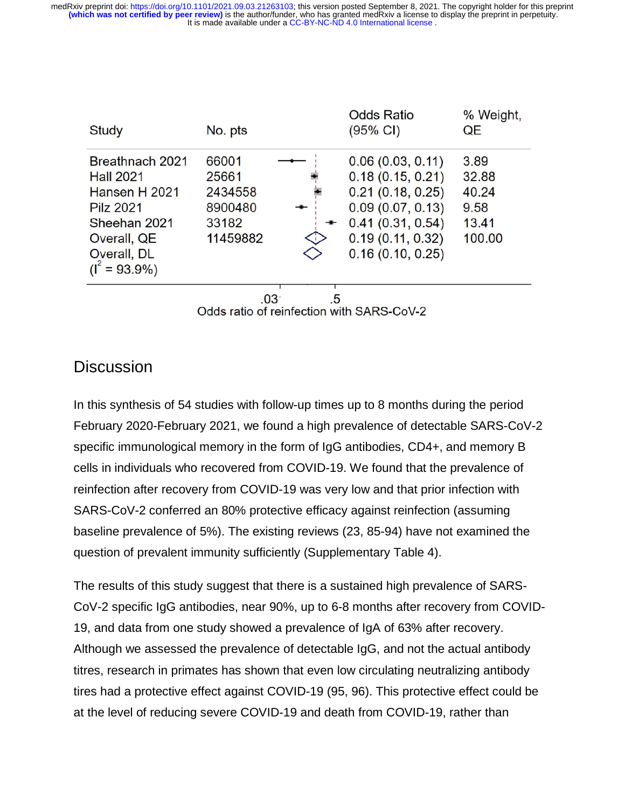| Study                                                                                                                                      | No. pts                                                   |          | <b>Odds Ratio</b><br>$(95% \text{ Cl})$                                                                                                  | % Weight,<br>QE                                   |  |  |
|--------------------------------------------------------------------------------------------------------------------------------------------|-----------------------------------------------------------|----------|------------------------------------------------------------------------------------------------------------------------------------------|---------------------------------------------------|--|--|
| Breathnach 2021<br><b>Hall 2021</b><br>Hansen H 2021<br><b>Pilz 2021</b><br>Sheehan 2021<br>Overall, QE<br>Overall, DL<br>$(I^2 = 93.9\%)$ | 66001<br>25661<br>2434558<br>8900480<br>33182<br>11459882 | ≁<br>ران | 0.06(0.03, 0.11)<br>0.18(0.15, 0.21)<br>0.21(0.18, 0.25)<br>0.09(0.07, 0.13)<br>0.41(0.31, 0.54)<br>0.19(0.11, 0.32)<br>0.16(0.10, 0.25) | 3.89<br>32.88<br>40.24<br>9.58<br>13.41<br>100.00 |  |  |
| no.<br>E                                                                                                                                   |                                                           |          |                                                                                                                                          |                                                   |  |  |

 $\cdot 5$  $.03^{\circ}$ Odds ratio of reinfection with SARS-CoV-2

# **Discussion**

In this synthesis of 54 studies with follow-up times up to 8 months during the period February 2020-February 2021, we found a high prevalence of detectable SARS-CoV-2 specific immunological memory in the form of IgG antibodies, CD4+, and memory B cells in individuals who recovered from COVID-19. We found that the prevalence of reinfection after recovery from COVID-19 was very low and that prior infection with SARS-CoV-2 conferred an 80% protective efficacy against reinfection (assuming baseline prevalence of 5%). The existing reviews (23, 85-94) have not examined the question of prevalent immunity sufficiently (Supplementary Table 4).

The results of this study suggest that there is a sustained high prevalence of SARS-CoV-2 specific IgG antibodies, near 90%, up to 6-8 months after recovery from COVID-19, and data from one study showed a prevalence of IgA of 63% after recovery. Although we assessed the prevalence of detectable IgG, and not the actual antibody titres, research in primates has shown that even low circulating neutralizing antibody tires had a protective effect against COVID-19 (95, 96). This protective effect could be at the level of reducing severe COVID-19 and death from COVID-19, rather than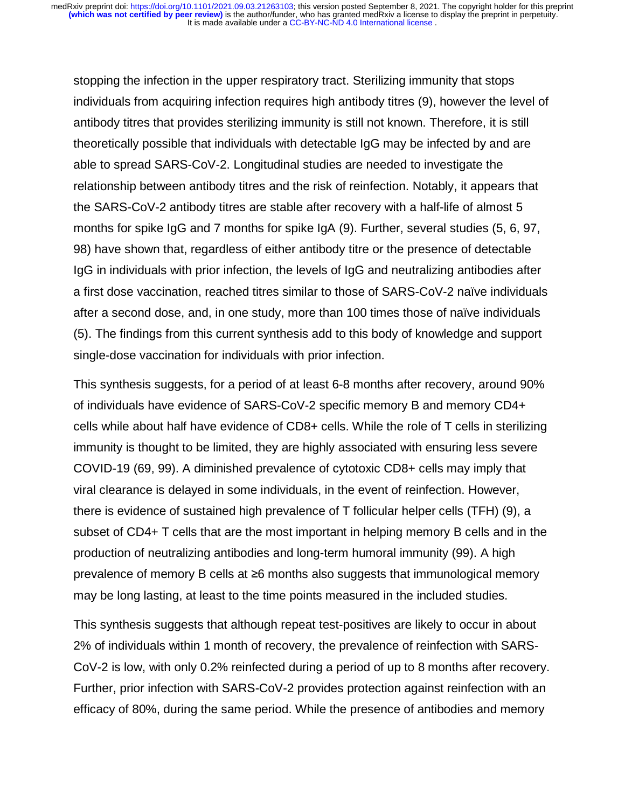stopping the infection in the upper respiratory tract. Sterilizing immunity that stops individuals from acquiring infection requires high antibody titres (9), however the level of antibody titres that provides sterilizing immunity is still not known. Therefore, it is still theoretically possible that individuals with detectable IgG may be infected by and are able to spread SARS-CoV-2. Longitudinal studies are needed to investigate the relationship between antibody titres and the risk of reinfection. Notably, it appears that the SARS-CoV-2 antibody titres are stable after recovery with a half-life of almost 5 months for spike IgG and 7 months for spike IgA (9). Further, several studies (5, 6, 97, 98) have shown that, regardless of either antibody titre or the presence of detectable IgG in individuals with prior infection, the levels of IgG and neutralizing antibodies after a first dose vaccination, reached titres similar to those of SARS-CoV-2 naïve individuals after a second dose, and, in one study, more than 100 times those of naïve individuals (5). The findings from this current synthesis add to this body of knowledge and support single-dose vaccination for individuals with prior infection.

This synthesis suggests, for a period of at least 6-8 months after recovery, around 90% of individuals have evidence of SARS-CoV-2 specific memory B and memory CD4+ cells while about half have evidence of CD8+ cells. While the role of T cells in sterilizing immunity is thought to be limited, they are highly associated with ensuring less severe COVID-19 (69, 99). A diminished prevalence of cytotoxic CD8+ cells may imply that viral clearance is delayed in some individuals, in the event of reinfection. However, there is evidence of sustained high prevalence of T follicular helper cells (TFH) (9), a subset of CD4+ T cells that are the most important in helping memory B cells and in the production of neutralizing antibodies and long-term humoral immunity (99). A high prevalence of memory B cells at ≥6 months also suggests that immunological memory may be long lasting, at least to the time points measured in the included studies.

This synthesis suggests that although repeat test-positives are likely to occur in about 2% of individuals within 1 month of recovery, the prevalence of reinfection with SARS-CoV-2 is low, with only 0.2% reinfected during a period of up to 8 months after recovery. Further, prior infection with SARS-CoV-2 provides protection against reinfection with an efficacy of 80%, during the same period. While the presence of antibodies and memory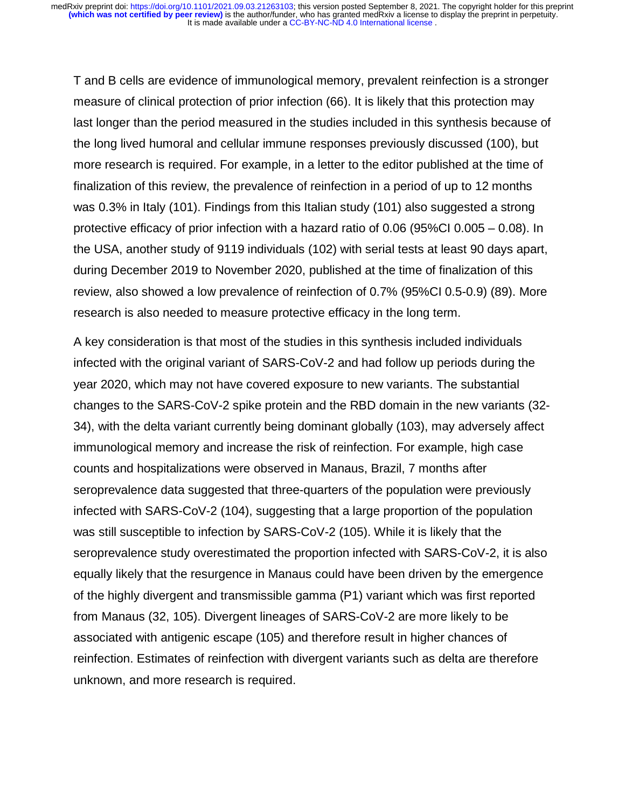T and B cells are evidence of immunological memory, prevalent reinfection is a stronger measure of clinical protection of prior infection (66). It is likely that this protection may last longer than the period measured in the studies included in this synthesis because of the long lived humoral and cellular immune responses previously discussed (100), but more research is required. For example, in a letter to the editor published at the time of finalization of this review, the prevalence of reinfection in a period of up to 12 months was 0.3% in Italy (101). Findings from this Italian study (101) also suggested a strong protective efficacy of prior infection with a hazard ratio of 0.06 (95%CI 0.005 – 0.08). In the USA, another study of 9119 individuals (102) with serial tests at least 90 days apart, during December 2019 to November 2020, published at the time of finalization of this review, also showed a low prevalence of reinfection of 0.7% (95%CI 0.5-0.9) (89). More research is also needed to measure protective efficacy in the long term.

A key consideration is that most of the studies in this synthesis included individuals infected with the original variant of SARS-CoV-2 and had follow up periods during the year 2020, which may not have covered exposure to new variants. The substantial changes to the SARS-CoV-2 spike protein and the RBD domain in the new variants (32- 34), with the delta variant currently being dominant globally (103), may adversely affect immunological memory and increase the risk of reinfection. For example, high case counts and hospitalizations were observed in Manaus, Brazil, 7 months after seroprevalence data suggested that three-quarters of the population were previously infected with SARS-CoV-2 (104), suggesting that a large proportion of the population was still susceptible to infection by SARS-CoV-2 (105). While it is likely that the seroprevalence study overestimated the proportion infected with SARS-CoV-2, it is also equally likely that the resurgence in Manaus could have been driven by the emergence of the highly divergent and transmissible gamma (P1) variant which was first reported from Manaus (32, 105). Divergent lineages of SARS-CoV-2 are more likely to be associated with antigenic escape (105) and therefore result in higher chances of reinfection. Estimates of reinfection with divergent variants such as delta are therefore unknown, and more research is required.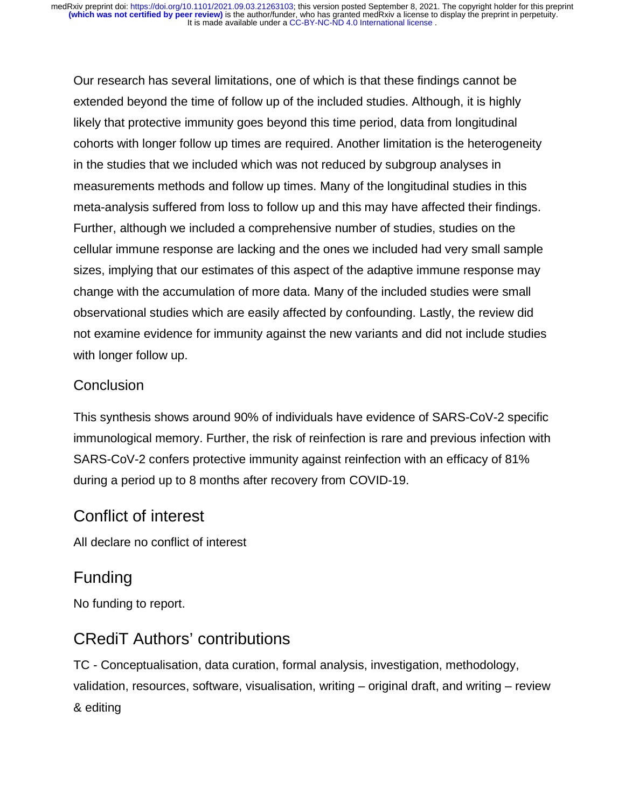Our research has several limitations, one of which is that these findings cannot be extended beyond the time of follow up of the included studies. Although, it is highly likely that protective immunity goes beyond this time period, data from longitudinal cohorts with longer follow up times are required. Another limitation is the heterogeneity in the studies that we included which was not reduced by subgroup analyses in measurements methods and follow up times. Many of the longitudinal studies in this meta-analysis suffered from loss to follow up and this may have affected their findings. Further, although we included a comprehensive number of studies, studies on the cellular immune response are lacking and the ones we included had very small sample sizes, implying that our estimates of this aspect of the adaptive immune response may change with the accumulation of more data. Many of the included studies were small observational studies which are easily affected by confounding. Lastly, the review did not examine evidence for immunity against the new variants and did not include studies with longer follow up.

#### **Conclusion**

This synthesis shows around 90% of individuals have evidence of SARS-CoV-2 specific immunological memory. Further, the risk of reinfection is rare and previous infection with SARS-CoV-2 confers protective immunity against reinfection with an efficacy of 81% during a period up to 8 months after recovery from COVID-19.

## Conflict of interest

All declare no conflict of interest

## Funding

No funding to report.

# CRediT Authors' contributions

TC - Conceptualisation, data curation, formal analysis, investigation, methodology, validation, resources, software, visualisation, writing – original draft, and writing – review & editing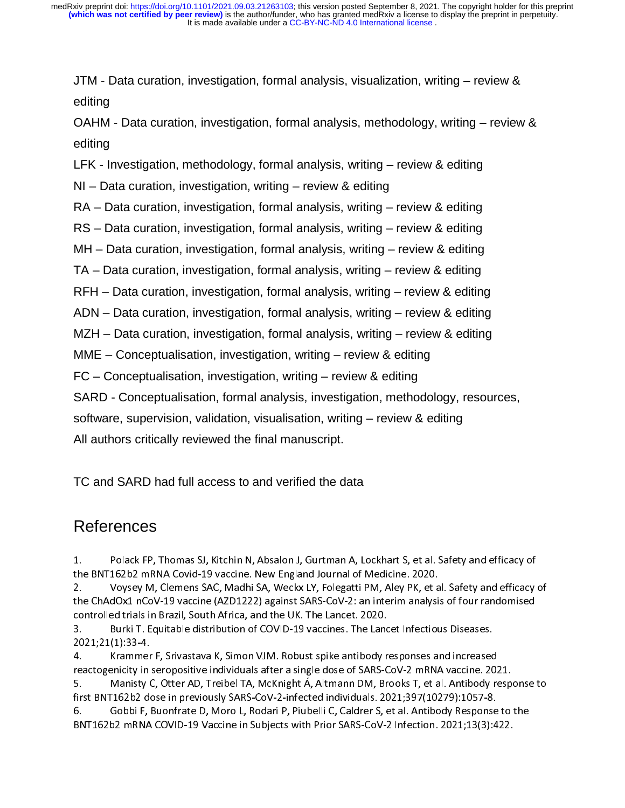JTM - Data curation, investigation, formal analysis, visualization, writing – review & editing

OAHM - Data curation, investigation, formal analysis, methodology, writing – review & editing

LFK - Investigation, methodology, formal analysis, writing – review & editing

NI – Data curation, investigation, writing – review & editing

RA – Data curation, investigation, formal analysis, writing – review & editing

RS – Data curation, investigation, formal analysis, writing – review & editing

MH – Data curation, investigation, formal analysis, writing – review & editing

TA – Data curation, investigation, formal analysis, writing – review & editing

RFH – Data curation, investigation, formal analysis, writing – review & editing

ADN – Data curation, investigation, formal analysis, writing – review & editing

MZH – Data curation, investigation, formal analysis, writing – review & editing

MME – Conceptualisation, investigation, writing – review & editing

FC – Conceptualisation, investigation, writing – review & editing

SARD - Conceptualisation, formal analysis, investigation, methodology, resources,

software, supervision, validation, visualisation, writing – review & editing

All authors critically reviewed the final manuscript.

TC and SARD had full access to and verified the data

# References

 $1.$ Polack FP, Thomas SJ, Kitchin N, Absalon J, Gurtman A, Lockhart S, et al. Safety and efficacy of the BNT162b2 mRNA Covid-19 vaccine. New England Journal of Medicine. 2020.

 $2.$ Voysey M, Clemens SAC, Madhi SA, Weckx LY, Folegatti PM, Aley PK, et al. Safety and efficacy of the ChAdOx1 nCoV-19 vaccine (AZD1222) against SARS-CoV-2: an interim analysis of four randomised controlled trials in Brazil, South Africa, and the UK. The Lancet. 2020.

Burki T. Equitable distribution of COVID-19 vaccines. The Lancet Infectious Diseases. 3. 2021;21(1):33-4.

Krammer F, Srivastava K, Simon VJM. Robust spike antibody responses and increased 4. reactogenicity in seropositive individuals after a single dose of SARS-CoV-2 mRNA vaccine. 2021.

5. Manisty C, Otter AD, Treibel TA, McKnight Á, Altmann DM, Brooks T, et al. Antibody response to first BNT162b2 dose in previously SARS-CoV-2-infected individuals. 2021;397(10279):1057-8.

Gobbi F, Buonfrate D, Moro L, Rodari P, Piubelli C, Caldrer S, et al. Antibody Response to the 6. BNT162b2 mRNA COVID-19 Vaccine in Subjects with Prior SARS-CoV-2 Infection. 2021;13(3):422.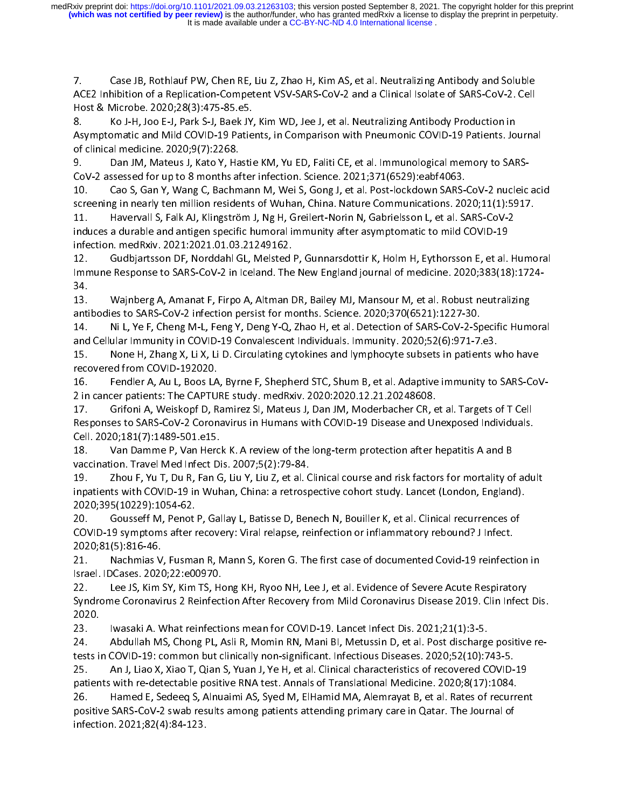$7.$ Case JB, Rothlauf PW, Chen RE, Liu Z, Zhao H, Kim AS, et al. Neutralizing Antibody and Soluble ACE2 Inhibition of a Replication-Competent VSV-SARS-CoV-2 and a Clinical Isolate of SARS-CoV-2. Cell Host & Microbe. 2020;28(3):475-85.e5.

Ko J-H, Joo E-J, Park S-J, Baek JY, Kim WD, Jee J, et al. Neutralizing Antibody Production in 8. Asymptomatic and Mild COVID-19 Patients, in Comparison with Pneumonic COVID-19 Patients. Journal of clinical medicine. 2020;9(7):2268.

Dan JM, Mateus J, Kato Y, Hastie KM, Yu ED, Faliti CE, et al. Immunological memory to SARS-9. CoV-2 assessed for up to 8 months after infection. Science. 2021;371(6529):eabf4063.

 $10<sub>1</sub>$ Cao S, Gan Y, Wang C, Bachmann M, Wei S, Gong J, et al. Post-lockdown SARS-CoV-2 nucleic acid screening in nearly ten million residents of Wuhan, China. Nature Communications. 2020;11(1):5917.

11. Havervall S, Falk AJ, Klingström J, Ng H, Greilert-Norin N, Gabrielsson L, et al. SARS-CoV-2 induces a durable and antigen specific humoral immunity after asymptomatic to mild COVID-19 infection. medRxiv. 2021.2021.01.03.21249162.

Gudbjartsson DF, Norddahl GL, Melsted P, Gunnarsdottir K, Holm H, Eythorsson E, et al. Humoral 12. Immune Response to SARS-CoV-2 in Iceland. The New England journal of medicine. 2020;383(18):1724-34.

Wajnberg A, Amanat F, Firpo A, Altman DR, Bailey MJ, Mansour M, et al. Robust neutralizing 13. antibodies to SARS-CoV-2 infection persist for months. Science. 2020;370(6521):1227-30.

14. Ni L, Ye F, Cheng M-L, Feng Y, Deng Y-Q, Zhao H, et al. Detection of SARS-CoV-2-Specific Humoral and Cellular Immunity in COVID-19 Convalescent Individuals. Immunity. 2020;52(6):971-7.e3.

15. None H, Zhang X, Li X, Li D. Circulating cytokines and lymphocyte subsets in patients who have recovered from COVID-192020.

16. Fendler A, Au L, Boos LA, Byrne F, Shepherd STC, Shum B, et al. Adaptive immunity to SARS-CoV-2 in cancer patients: The CAPTURE study. medRxiv. 2020:2020.12.21.20248608.

17 Grifoni A, Weiskopf D, Ramirez SI, Mateus J, Dan JM, Moderbacher CR, et al. Targets of T Cell Responses to SARS-CoV-2 Coronavirus in Humans with COVID-19 Disease and Unexposed Individuals. Cell. 2020;181(7):1489-501.e15.

18. Van Damme P, Van Herck K. A review of the long-term protection after hepatitis A and B vaccination. Travel Med Infect Dis. 2007;5(2):79-84.

19. Zhou F, Yu T, Du R, Fan G, Liu Y, Liu Z, et al. Clinical course and risk factors for mortality of adult inpatients with COVID-19 in Wuhan, China: a retrospective cohort study. Lancet (London, England). 2020;395(10229):1054-62.

20. Gousseff M, Penot P, Gallay L, Batisse D, Benech N, Bouiller K, et al. Clinical recurrences of COVID-19 symptoms after recovery: Viral relapse, reinfection or inflammatory rebound? J Infect. 2020;81(5):816-46.

Nachmias V, Fusman R, Mann S, Koren G. The first case of documented Covid-19 reinfection in  $21.$ Israel. IDCases. 2020;22:e00970.

Lee JS, Kim SY, Kim TS, Hong KH, Ryoo NH, Lee J, et al. Evidence of Severe Acute Respiratory  $22.$ Syndrome Coronavirus 2 Reinfection After Recovery from Mild Coronavirus Disease 2019. Clin Infect Dis. 2020.

23 Iwasaki A. What reinfections mean for COVID-19. Lancet Infect Dis. 2021;21(1):3-5.

24 Abdullah MS, Chong PL, Asli R, Momin RN, Mani BI, Metussin D, et al. Post discharge positive retests in COVID-19: common but clinically non-significant. Infectious Diseases. 2020;52(10):743-5.

25. An J, Liao X, Xiao T, Qian S, Yuan J, Ye H, et al. Clinical characteristics of recovered COVID-19 patients with re-detectable positive RNA test. Annals of Translational Medicine. 2020;8(17):1084.

Hamed E, Sedeeq S, Alnuaimi AS, Syed M, ElHamid MA, Alemrayat B, et al. Rates of recurrent 26. positive SARS-CoV-2 swab results among patients attending primary care in Qatar. The Journal of infection. 2021;82(4):84-123.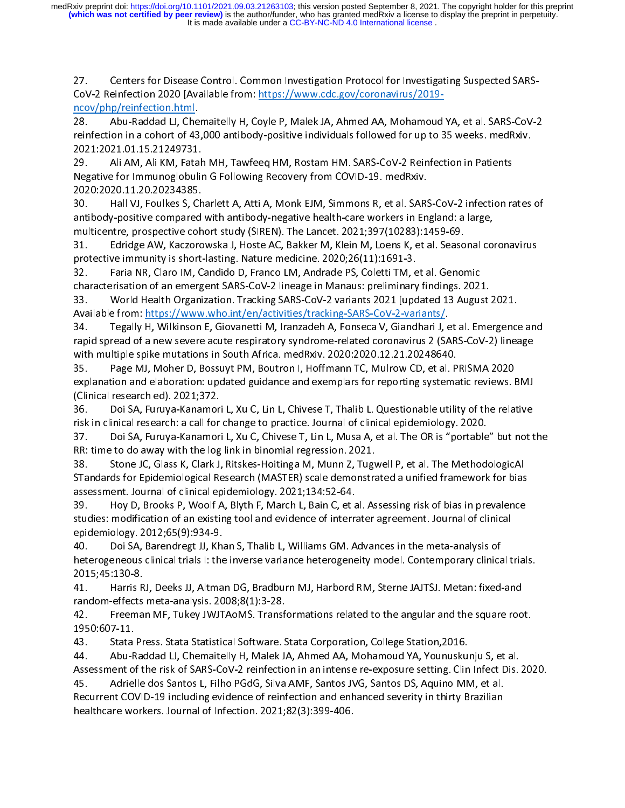$27<sub>2</sub>$ Centers for Disease Control. Common Investigation Protocol for Investigating Suspected SARS-CoV-2 Reinfection 2020 [Available from: https://www.cdc.gov/coronavirus/2019ncov/php/reinfection.html

Abu-Raddad LJ, Chemaitelly H, Coyle P, Malek JA, Ahmed AA, Mohamoud YA, et al. SARS-CoV-2 28. reinfection in a cohort of 43,000 antibody-positive individuals followed for up to 35 weeks. medRxiv. 2021.2021.01.15.21249731.

Ali AM, Ali KM, Fatah MH, Tawfeeq HM, Rostam HM. SARS-CoV-2 Reinfection in Patients 29. Negative for Immunoglobulin G Following Recovery from COVID-19. medRxiv. 2020:2020.11.20.20234385.

30. Hall VJ, Foulkes S, Charlett A, Atti A, Monk EJM, Simmons R, et al. SARS-CoV-2 infection rates of antibody-positive compared with antibody-negative health-care workers in England: a large, multicentre, prospective cohort study (SIREN). The Lancet. 2021;397(10283):1459-69.

31. Edridge AW, Kaczorowska J, Hoste AC, Bakker M, Klein M, Loens K, et al. Seasonal coronavirus protective immunity is short-lasting. Nature medicine. 2020;26(11):1691-3.

32. Faria NR, Claro IM, Candido D, Franco LM, Andrade PS, Coletti TM, et al. Genomic characterisation of an emergent SARS-CoV-2 lineage in Manaus: preliminary findings. 2021.

World Health Organization. Tracking SARS-CoV-2 variants 2021 [updated 13 August 2021. 33. Available from: https://www.who.int/en/activities/tracking-SARS-CoV-2-variants/

Tegally H, Wilkinson E, Giovanetti M, Iranzadeh A, Fonseca V, Giandhari J, et al. Emergence and 34. rapid spread of a new severe acute respiratory syndrome-related coronavirus 2 (SARS-CoV-2) lineage with multiple spike mutations in South Africa. medRxiv. 2020:2020.12.21.20248640.

Page MJ, Moher D, Bossuyt PM, Boutron I, Hoffmann TC, Mulrow CD, et al. PRISMA 2020 35. explanation and elaboration: updated guidance and exemplars for reporting systematic reviews. BMJ (Clinical research ed). 2021;372.

Doi SA, Furuya-Kanamori L, Xu C, Lin L, Chivese T, Thalib L. Questionable utility of the relative 36. risk in clinical research: a call for change to practice. Journal of clinical epidemiology. 2020.

37 Doi SA, Furuya-Kanamori L, Xu C, Chivese T, Lin L, Musa A, et al. The OR is "portable" but not the RR: time to do away with the log link in binomial regression. 2021.

Stone JC, Glass K, Clark J, Ritskes-Hoitinga M, Munn Z, Tugwell P, et al. The MethodologicAl 38. STandards for Epidemiological Research (MASTER) scale demonstrated a unified framework for bias assessment. Journal of clinical epidemiology. 2021;134:52-64.

Hoy D, Brooks P, Woolf A, Blyth F, March L, Bain C, et al. Assessing risk of bias in prevalence 39. studies: modification of an existing tool and evidence of interrater agreement. Journal of clinical epidemiology. 2012;65(9):934-9.

Doi SA, Barendregt JJ, Khan S, Thalib L, Williams GM. Advances in the meta-analysis of 40. heterogeneous clinical trials I: the inverse variance heterogeneity model. Contemporary clinical trials. 2015;45:130-8

Harris RJ, Deeks JJ, Altman DG, Bradburn MJ, Harbord RM, Sterne JAJTSJ. Metan: fixed-and 41. random-effects meta-analysis. 2008;8(1):3-28.

42. Freeman MF, Tukey JWJTAoMS. Transformations related to the angular and the square root. 1950:607-11.

43 Stata Press. Stata Statistical Software. Stata Corporation, College Station, 2016.

Abu-Raddad LJ, Chemaitelly H, Malek JA, Ahmed AA, Mohamoud YA, Younuskunju S, et al. 44 Assessment of the risk of SARS-CoV-2 reinfection in an intense re-exposure setting. Clin Infect Dis. 2020.

45. Adrielle dos Santos L, Filho PGdG, Silva AMF, Santos JVG, Santos DS, Aquino MM, et al. Recurrent COVID-19 including evidence of reinfection and enhanced severity in thirty Brazilian healthcare workers. Journal of Infection. 2021;82(3):399-406.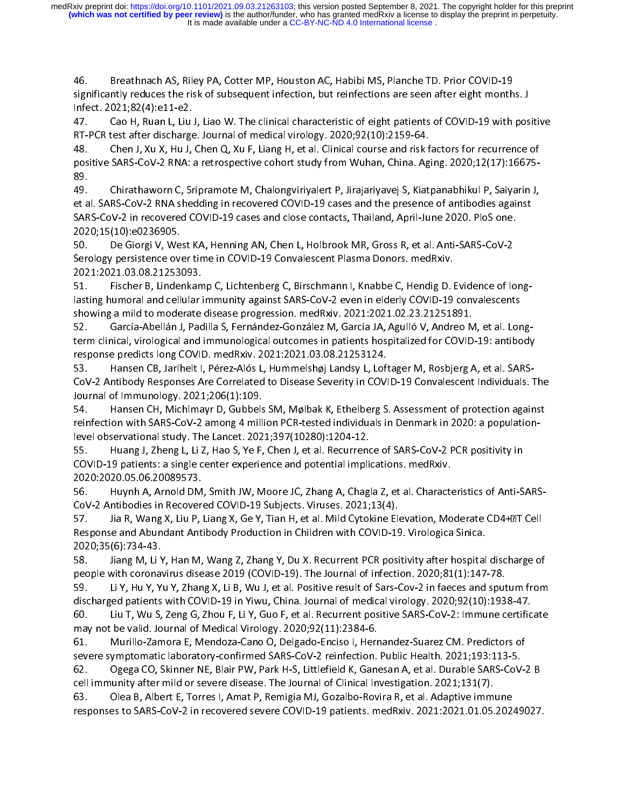46. Breathnach AS, Riley PA, Cotter MP, Houston AC, Habibi MS, Planche TD. Prior COVID-19 significantly reduces the risk of subsequent infection, but reinfections are seen after eight months. J Infect. 2021;82(4):e11-e2.

Cao H, Ruan L, Liu J, Liao W. The clinical characteristic of eight patients of COVID-19 with positive 47. RT-PCR test after discharge. Journal of medical virology. 2020;92(10):2159-64.

Chen J, Xu X, Hu J, Chen Q, Xu F, Liang H, et al. Clinical course and risk factors for recurrence of 48. positive SARS-CoV-2 RNA: a retrospective cohort study from Wuhan, China. Aging. 2020;12(17):16675-89.

Chirathaworn C, Sripramote M, Chalongviriyalert P, Jirajariyavej S, Kiatpanabhikul P, Saiyarin J, 49. et al. SARS-CoV-2 RNA shedding in recovered COVID-19 cases and the presence of antibodies against SARS-CoV-2 in recovered COVID-19 cases and close contacts, Thailand, April-June 2020. PloS one. 2020;15(10):e0236905.

50. De Giorgi V, West KA, Henning AN, Chen L, Holbrook MR, Gross R, et al. Anti-SARS-CoV-2 Serology persistence over time in COVID-19 Convalescent Plasma Donors. medRxiv. 2021 2021 03 08 21253093

51. Fischer B, Lindenkamp C, Lichtenberg C, Birschmann I, Knabbe C, Hendig D. Evidence of longlasting humoral and cellular immunity against SARS-CoV-2 even in elderly COVID-19 convalescents showing a mild to moderate disease progression. medRxiv. 2021:2021.02.23.21251891.

García-Abellán J, Padilla S, Fernández-González M, García JA, Agulló V, Andreo M, et al. Long-52. term clinical, virological and immunological outcomes in patients hospitalized for COVID-19: antibody response predicts long COVID. medRxiv. 2021:2021.03.08.21253124.

Hansen CB, Jarlhelt I, Pérez-Alós L, Hummelshøj Landsy L, Loftager M, Rosbjerg A, et al. SARS-53. CoV-2 Antibody Responses Are Correlated to Disease Severity in COVID-19 Convalescent Individuals. The Journal of Immunology. 2021;206(1):109.

Hansen CH, Michlmayr D, Gubbels SM, Mølbak K, Ethelberg S. Assessment of protection against 54. reinfection with SARS-CoV-2 among 4 million PCR-tested individuals in Denmark in 2020: a populationlevel observational study. The Lancet. 2021;397(10280):1204-12.

55. Huang J, Zheng L, Li Z, Hao S, Ye F, Chen J, et al. Recurrence of SARS-CoV-2 PCR positivity in COVID-19 patients: a single center experience and potential implications. medRxiv. 2020 2020 05 06 20089573.

Huynh A, Arnold DM, Smith JW, Moore JC, Zhang A, Chagla Z, et al. Characteristics of Anti-SARS-56. CoV-2 Antibodies in Recovered COVID-19 Subjects. Viruses. 2021;13(4).

57. Jia R, Wang X, Liu P, Liang X, Ge Y, Tian H, et al. Mild Cytokine Elevation, Moderate CD4+DT Cell Response and Abundant Antibody Production in Children with COVID-19. Virologica Sinica. 2020;35(6):734-43.

58. Jiang M, Li Y, Han M, Wang Z, Zhang Y, Du X. Recurrent PCR positivity after hospital discharge of people with coronavirus disease 2019 (COVID-19). The Journal of infection. 2020;81(1):147-78.

59. Li Y, Hu Y, Yu Y, Zhang X, Li B, Wu J, et al. Positive result of Sars-Cov-2 in faeces and sputum from discharged patients with COVID-19 in Yiwu, China. Journal of medical virology. 2020;92(10):1938-47.

60. Liu T, Wu S, Zeng G, Zhou F, Li Y, Guo F, et al. Recurrent positive SARS-CoV-2: Immune certificate may not be valid. Journal of Medical Virology. 2020;92(11):2384-6.

Murillo-Zamora E, Mendoza-Cano O, Delgado-Enciso I, Hernandez-Suarez CM. Predictors of 61. severe symptomatic laboratory-confirmed SARS-CoV-2 reinfection. Public Health. 2021;193:113-5.

62. Ogega CO, Skinner NE, Blair PW, Park H-S, Littlefield K, Ganesan A, et al. Durable SARS-CoV-2 B cell immunity after mild or severe disease. The Journal of Clinical Investigation. 2021;131(7).

Olea B, Albert E, Torres I, Amat P, Remigia MJ, Gozalbo-Rovira R, et al. Adaptive immune 63. responses to SARS-CoV-2 in recovered severe COVID-19 patients. medRxiv. 2021:2021.01.05.20249027.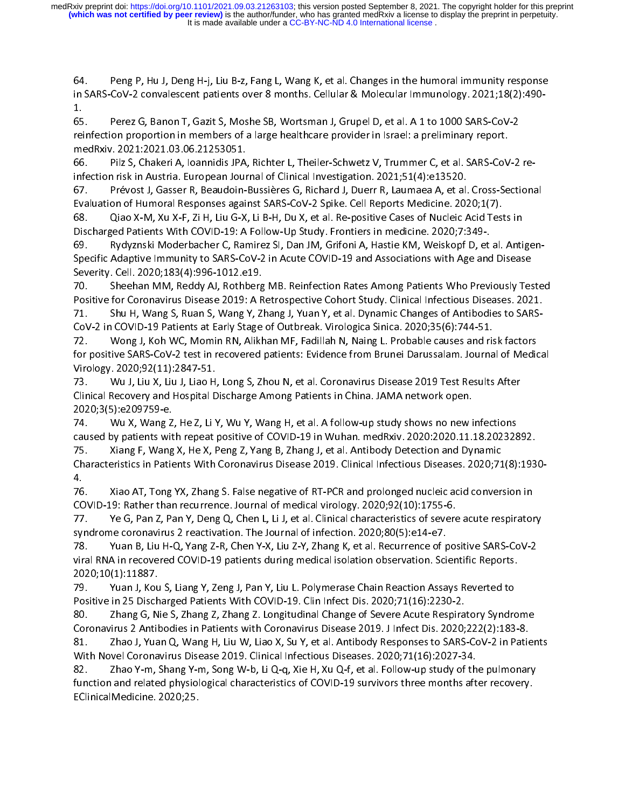64. Peng P, Hu J, Deng H-j, Liu B-z, Fang L, Wang K, et al. Changes in the humoral immunity response in SARS-CoV-2 convalescent patients over 8 months. Cellular & Molecular Immunology. 2021;18(2):490- $1.$ 

65. Perez G, Banon T, Gazit S, Moshe SB, Wortsman J, Grupel D, et al. A 1 to 1000 SARS-CoV-2 reinfection proportion in members of a large healthcare provider in Israel: a preliminary report. medRxiv. 2021:2021.03.06.21253051.

Pilz S, Chakeri A, Ioannidis JPA, Richter L, Theiler-Schwetz V, Trummer C, et al. SARS-CoV-2 re-66. infection risk in Austria. European Journal of Clinical Investigation. 2021;51(4):e13520.

67 Prévost J, Gasser R, Beaudoin-Bussières G, Richard J, Duerr R, Laumaea A, et al. Cross-Sectional Evaluation of Humoral Responses against SARS-CoV-2 Spike. Cell Reports Medicine. 2020;1(7).

68. Qiao X-M, Xu X-F, Zi H, Liu G-X, Li B-H, Du X, et al. Re-positive Cases of Nucleic Acid Tests in Discharged Patients With COVID-19: A Follow-Up Study. Frontiers in medicine. 2020;7:349-.

69. Rydyznski Moderbacher C, Ramirez SI, Dan JM, Grifoni A, Hastie KM, Weiskopf D, et al. Antigen-Specific Adaptive Immunity to SARS-CoV-2 in Acute COVID-19 and Associations with Age and Disease Severity. Cell. 2020;183(4):996-1012.e19.

70. Sheehan MM, Reddy AJ, Rothberg MB. Reinfection Rates Among Patients Who Previously Tested Positive for Coronavirus Disease 2019: A Retrospective Cohort Study. Clinical Infectious Diseases. 2021.

Shu H, Wang S, Ruan S, Wang Y, Zhang J, Yuan Y, et al. Dynamic Changes of Antibodies to SARS- $71.$ CoV-2 in COVID-19 Patients at Early Stage of Outbreak. Virologica Sinica. 2020;35(6):744-51.

 $72.$ Wong J, Koh WC, Momin RN, Alikhan MF, Fadillah N, Naing L. Probable causes and risk factors for positive SARS-CoV-2 test in recovered patients: Evidence from Brunei Darussalam. Journal of Medical Virology. 2020;92(11):2847-51.

73. Wu J, Liu X, Liu J, Liao H, Long S, Zhou N, et al. Coronavirus Disease 2019 Test Results After Clinical Recovery and Hospital Discharge Among Patients in China. JAMA network open. 2020;3(5):e209759-e.

74. Wu X, Wang Z, He Z, Li Y, Wu Y, Wang H, et al. A follow-up study shows no new infections caused by patients with repeat positive of COVID-19 in Wuhan. medRxiv. 2020:2020.11.18.20232892. 75. Xiang F, Wang X, He X, Peng Z, Yang B, Zhang J, et al. Antibody Detection and Dynamic

Characteristics in Patients With Coronavirus Disease 2019. Clinical Infectious Diseases. 2020;71(8):1930- $\overline{4}$ .

Xiao AT, Tong YX, Zhang S. False negative of RT-PCR and prolonged nucleic acid conversion in 76. COVID-19: Rather than recurrence. Journal of medical virology. 2020;92(10):1755-6.

77. Ye G, Pan Z, Pan Y, Deng Q, Chen L, Li J, et al. Clinical characteristics of severe acute respiratory syndrome coronavirus 2 reactivation. The Journal of infection. 2020;80(5):e14-e7.

Yuan B, Liu H-Q, Yang Z-R, Chen Y-X, Liu Z-Y, Zhang K, et al. Recurrence of positive SARS-CoV-2 78. viral RNA in recovered COVID-19 patients during medical isolation observation. Scientific Reports. 2020;10(1):11887.

79. Yuan J, Kou S, Liang Y, Zeng J, Pan Y, Liu L. Polymerase Chain Reaction Assays Reverted to Positive in 25 Discharged Patients With COVID-19. Clin Infect Dis. 2020;71(16):2230-2.

80. Zhang G, Nie S, Zhang Z, Zhang Z. Longitudinal Change of Severe Acute Respiratory Syndrome Coronavirus 2 Antibodies in Patients with Coronavirus Disease 2019. J Infect Dis. 2020;222(2):183-8.

Zhao J, Yuan Q, Wang H, Liu W, Liao X, Su Y, et al. Antibody Responses to SARS-CoV-2 in Patients 81. With Novel Coronavirus Disease 2019. Clinical Infectious Diseases. 2020;71(16):2027-34.

82. Zhao Y-m, Shang Y-m, Song W-b, Li Q-q, Xie H, Xu Q-f, et al. Follow-up study of the pulmonary function and related physiological characteristics of COVID-19 survivors three months after recovery. EClinicalMedicine. 2020;25.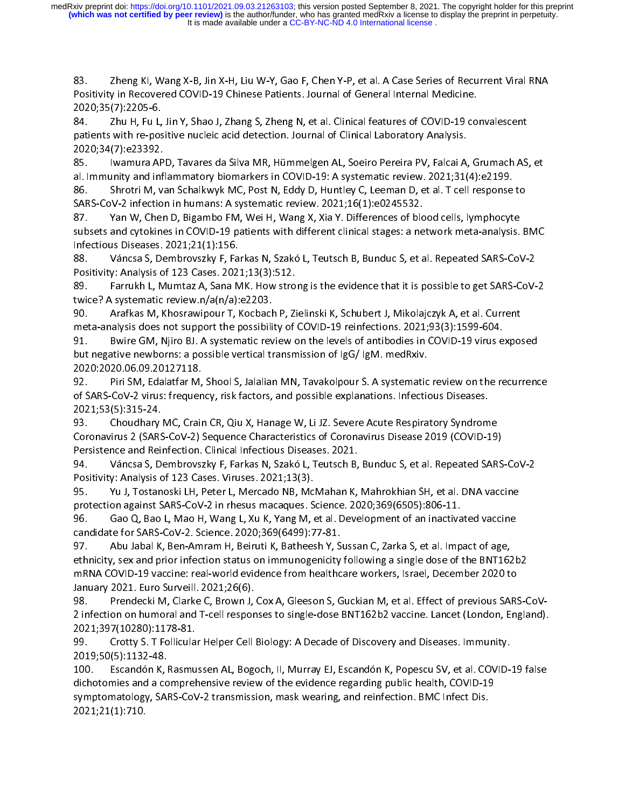83. Zheng KI, Wang X-B, Jin X-H, Liu W-Y, Gao F, Chen Y-P, et al. A Case Series of Recurrent Viral RNA Positivity in Recovered COVID-19 Chinese Patients. Journal of General Internal Medicine. 2020;35(7):2205-6.

Zhu H, Fu L, Jin Y, Shao J, Zhang S, Zheng N, et al. Clinical features of COVID-19 convalescent 84. patients with re-positive nucleic acid detection. Journal of Clinical Laboratory Analysis. 2020;34(7):e23392.

85. Iwamura APD, Tavares da Silva MR, Hümmelgen AL, Soeiro Pereira PV, Falcai A, Grumach AS, et al. Immunity and inflammatory biomarkers in COVID-19: A systematic review. 2021;31(4):e2199.

86. Shrotri M, van Schalkwyk MC, Post N, Eddy D, Huntley C, Leeman D, et al. T cell response to SARS-CoV-2 infection in humans: A systematic review. 2021;16(1):e0245532.

87 Yan W, Chen D, Bigambo FM, Wei H, Wang X, Xia Y. Differences of blood cells, lymphocyte subsets and cytokines in COVID-19 patients with different clinical stages: a network meta-analysis. BMC Infectious Diseases. 2021;21(1):156.

Váncsa S, Dembrovszky F, Farkas N, Szakó L, Teutsch B, Bunduc S, et al. Repeated SARS-CoV-2 88. Positivity: Analysis of 123 Cases. 2021;13(3):512.

89. Farrukh L, Mumtaz A, Sana MK. How strong is the evidence that it is possible to get SARS-CoV-2 twice? A systematic review n/a(n/a):e2203.

90. Arafkas M, Khosrawipour T, Kocbach P, Zielinski K, Schubert J, Mikolajczyk A, et al. Current meta-analysis does not support the possibility of COVID-19 reinfections. 2021;93(3):1599-604.

91. Bwire GM, Njiro BJ. A systematic review on the levels of antibodies in COVID-19 virus exposed but negative newborns: a possible vertical transmission of IgG/IgM. medRxiv. 2020 2020 06 09 20127118

92. Piri SM, Edalatfar M, Shool S, Jalalian MN, Tavakolpour S. A systematic review on the recurrence of SARS-CoV-2 virus: frequency, risk factors, and possible explanations. Infectious Diseases. 2021;53(5):315-24.

93. Choudhary MC, Crain CR, Qiu X, Hanage W, Li JZ. Severe Acute Respiratory Syndrome Coronavirus 2 (SARS-CoV-2) Sequence Characteristics of Coronavirus Disease 2019 (COVID-19) Persistence and Reinfection. Clinical Infectious Diseases. 2021.

Váncsa S, Dembrovszky F, Farkas N, Szakó L, Teutsch B, Bunduc S, et al. Repeated SARS-CoV-2 94. Positivity: Analysis of 123 Cases. Viruses. 2021;13(3).

95. Yu J, Tostanoski LH, Peter L, Mercado NB, McMahan K, Mahrokhian SH, et al. DNA vaccine protection against SARS-CoV-2 in rhesus macaques. Science. 2020;369(6505):806-11.

96. Gao Q, Bao L, Mao H, Wang L, Xu K, Yang M, et al. Development of an inactivated vaccine candidate for SARS-CoV-2. Science. 2020;369(6499):77-81.

97 Abu Jabal K, Ben-Amram H, Beiruti K, Batheesh Y, Sussan C, Zarka S, et al. Impact of age, ethnicity, sex and prior infection status on immunogenicity following a single dose of the BNT162b2 mRNA COVID-19 vaccine: real-world evidence from healthcare workers, Israel, December 2020 to January 2021. Euro Surveill. 2021;26(6).

98. Prendecki M, Clarke C, Brown J, Cox A, Gleeson S, Guckian M, et al. Effect of previous SARS-CoV-2 infection on humoral and T-cell responses to single-dose BNT162b2 vaccine. Lancet (London, England). 2021;397(10280):1178-81.

99. Crotty S. T Follicular Helper Cell Biology: A Decade of Discovery and Diseases. Immunity. 2019;50(5):1132-48.

 $100.$ Escandón K, Rasmussen AL, Bogoch, II, Murray EJ, Escandón K, Popescu SV, et al. COVID-19 false dichotomies and a comprehensive review of the evidence regarding public health, COVID-19 symptomatology, SARS-CoV-2 transmission, mask wearing, and reinfection. BMC Infect Dis. 2021;21(1):710.